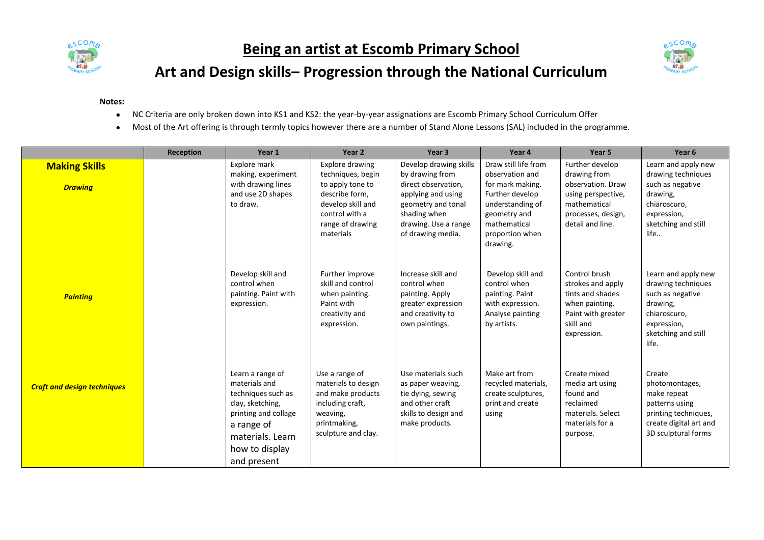

## **Being an artist at Escomb Primary School**



## **Art and Design skills– Progression through the National Curriculum**

## **Notes:**

- NC Criteria are only broken down into KS1 and KS2: the year-by-year assignations are Escomb Primary School Curriculum Offer
- Most of the Art offering is through termly topics however there are a number of Stand Alone Lessons (SAL) included in the programme.

|                                        | <b>Reception</b> | Year 1                                                                                                                                                                 | Year 2                                                                                                                                             | Year 3                                                                                                                                                                    | Year 4                                                                                                                                                            | Year 5                                                                                                                               | Year <sub>6</sub>                                                                                                                        |
|----------------------------------------|------------------|------------------------------------------------------------------------------------------------------------------------------------------------------------------------|----------------------------------------------------------------------------------------------------------------------------------------------------|---------------------------------------------------------------------------------------------------------------------------------------------------------------------------|-------------------------------------------------------------------------------------------------------------------------------------------------------------------|--------------------------------------------------------------------------------------------------------------------------------------|------------------------------------------------------------------------------------------------------------------------------------------|
| <b>Making Skills</b><br><b>Drawing</b> |                  | Explore mark<br>making, experiment<br>with drawing lines<br>and use 2D shapes<br>to draw.                                                                              | Explore drawing<br>techniques, begin<br>to apply tone to<br>describe form,<br>develop skill and<br>control with a<br>range of drawing<br>materials | Develop drawing skills<br>by drawing from<br>direct observation,<br>applying and using<br>geometry and tonal<br>shading when<br>drawing. Use a range<br>of drawing media. | Draw still life from<br>observation and<br>for mark making.<br>Further develop<br>understanding of<br>geometry and<br>mathematical<br>proportion when<br>drawing. | Further develop<br>drawing from<br>observation. Draw<br>using perspective,<br>mathematical<br>processes, design,<br>detail and line. | Learn and apply new<br>drawing techniques<br>such as negative<br>drawing,<br>chiaroscuro,<br>expression,<br>sketching and still<br>life  |
| <b>Painting</b>                        |                  | Develop skill and<br>control when<br>painting. Paint with<br>expression.                                                                                               | Further improve<br>skill and control<br>when painting.<br>Paint with<br>creativity and<br>expression.                                              | Increase skill and<br>control when<br>painting. Apply<br>greater expression<br>and creativity to<br>own paintings.                                                        | Develop skill and<br>control when<br>painting. Paint<br>with expression.<br>Analyse painting<br>by artists.                                                       | Control brush<br>strokes and apply<br>tints and shades<br>when painting.<br>Paint with greater<br>skill and<br>expression.           | Learn and apply new<br>drawing techniques<br>such as negative<br>drawing,<br>chiaroscuro,<br>expression,<br>sketching and still<br>life. |
| <b>Craft and design techniques</b>     |                  | Learn a range of<br>materials and<br>techniques such as<br>clay, sketching,<br>printing and collage<br>a range of<br>materials. Learn<br>how to display<br>and present | Use a range of<br>materials to design<br>and make products<br>including craft,<br>weaving,<br>printmaking,<br>sculpture and clay.                  | Use materials such<br>as paper weaving,<br>tie dying, sewing<br>and other craft<br>skills to design and<br>make products.                                                 | Make art from<br>recycled materials,<br>create sculptures,<br>print and create<br>using                                                                           | Create mixed<br>media art using<br>found and<br>reclaimed<br>materials. Select<br>materials for a<br>purpose.                        | Create<br>photomontages,<br>make repeat<br>patterns using<br>printing techniques,<br>create digital art and<br>3D sculptural forms       |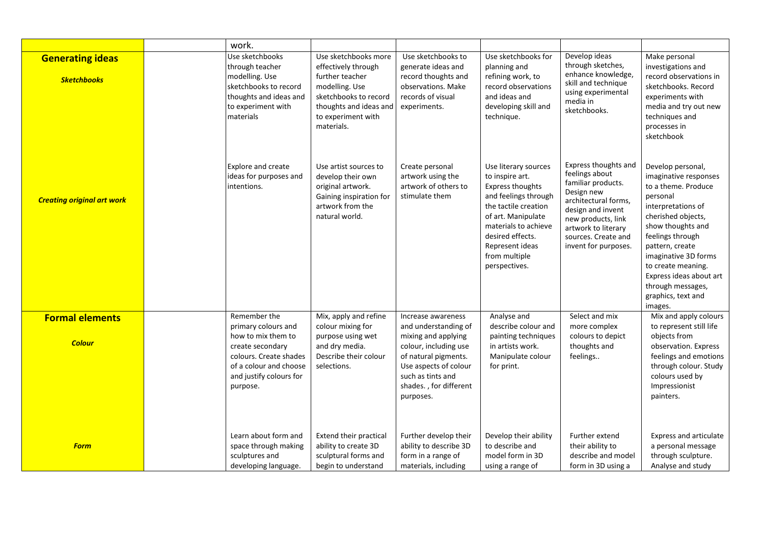|                                               | work.                                                                                                                                                    |                                                                                                                                                                         |                                                                                                                                                                                   |                                                                                                                                                                                                                                    |                                                                                                                                                                                                                     |                                                                                                                                                                                                                                                                                                                      |
|-----------------------------------------------|----------------------------------------------------------------------------------------------------------------------------------------------------------|-------------------------------------------------------------------------------------------------------------------------------------------------------------------------|-----------------------------------------------------------------------------------------------------------------------------------------------------------------------------------|------------------------------------------------------------------------------------------------------------------------------------------------------------------------------------------------------------------------------------|---------------------------------------------------------------------------------------------------------------------------------------------------------------------------------------------------------------------|----------------------------------------------------------------------------------------------------------------------------------------------------------------------------------------------------------------------------------------------------------------------------------------------------------------------|
| <b>Generating ideas</b><br><b>Sketchbooks</b> | Use sketchbooks<br>through teacher<br>modelling. Use<br>sketchbooks to record<br>thoughts and ideas and<br>to experiment with<br>materials               | Use sketchbooks more<br>effectively through<br>further teacher<br>modelling. Use<br>sketchbooks to record<br>thoughts and ideas and<br>to experiment with<br>materials. | Use sketchbooks to<br>generate ideas and<br>record thoughts and<br>observations. Make<br>records of visual<br>experiments.                                                        | Use sketchbooks for<br>planning and<br>refining work, to<br>record observations<br>and ideas and<br>developing skill and<br>technique.                                                                                             | Develop ideas<br>through sketches,<br>enhance knowledge,<br>skill and technique<br>using experimental<br>media in<br>sketchbooks.                                                                                   | Make personal<br>investigations and<br>record observations in<br>sketchbooks. Record<br>experiments with<br>media and try out new<br>techniques and<br>processes in<br>sketchbook                                                                                                                                    |
| <b>Creating original art work</b>             | <b>Explore and create</b><br>ideas for purposes and<br>intentions.                                                                                       | Use artist sources to<br>develop their own<br>original artwork.<br>Gaining inspiration for<br>artwork from the<br>natural world.                                        | Create personal<br>artwork using the<br>artwork of others to<br>stimulate them                                                                                                    | Use literary sources<br>to inspire art.<br>Express thoughts<br>and feelings through<br>the tactile creation<br>of art. Manipulate<br>materials to achieve<br>desired effects.<br>Represent ideas<br>from multiple<br>perspectives. | Express thoughts and<br>feelings about<br>familiar products.<br>Design new<br>architectural forms,<br>design and invent<br>new products, link<br>artwork to literary<br>sources. Create and<br>invent for purposes. | Develop personal,<br>imaginative responses<br>to a theme. Produce<br>personal<br>interpretations of<br>cherished objects,<br>show thoughts and<br>feelings through<br>pattern, create<br>imaginative 3D forms<br>to create meaning.<br>Express ideas about art<br>through messages,<br>graphics, text and<br>images. |
| <b>Formal elements</b>                        | Remember the                                                                                                                                             | Mix, apply and refine                                                                                                                                                   | Increase awareness                                                                                                                                                                | Analyse and                                                                                                                                                                                                                        | Select and mix                                                                                                                                                                                                      | Mix and apply colours                                                                                                                                                                                                                                                                                                |
| <b>Colour</b>                                 | primary colours and<br>how to mix them to<br>create secondary<br>colours. Create shades<br>of a colour and choose<br>and justify colours for<br>purpose. | colour mixing for<br>purpose using wet<br>and dry media.<br>Describe their colour<br>selections.                                                                        | and understanding of<br>mixing and applying<br>colour, including use<br>of natural pigments.<br>Use aspects of colour<br>such as tints and<br>shades., for different<br>purposes. | describe colour and<br>painting techniques<br>in artists work.<br>Manipulate colour<br>for print.                                                                                                                                  | more complex<br>colours to depict<br>thoughts and<br>feelings                                                                                                                                                       | to represent still life<br>objects from<br>observation. Express<br>feelings and emotions<br>through colour. Study<br>colours used by<br>Impressionist<br>painters.                                                                                                                                                   |
| <b>Form</b>                                   | Learn about form and<br>space through making<br>sculptures and<br>developing language.                                                                   | Extend their practical<br>ability to create 3D<br>sculptural forms and<br>begin to understand                                                                           | Further develop their<br>ability to describe 3D<br>form in a range of<br>materials, including                                                                                     | Develop their ability<br>to describe and<br>model form in 3D<br>using a range of                                                                                                                                                   | Further extend<br>their ability to<br>describe and model<br>form in 3D using a                                                                                                                                      | Express and articulate<br>a personal message<br>through sculpture.<br>Analyse and study                                                                                                                                                                                                                              |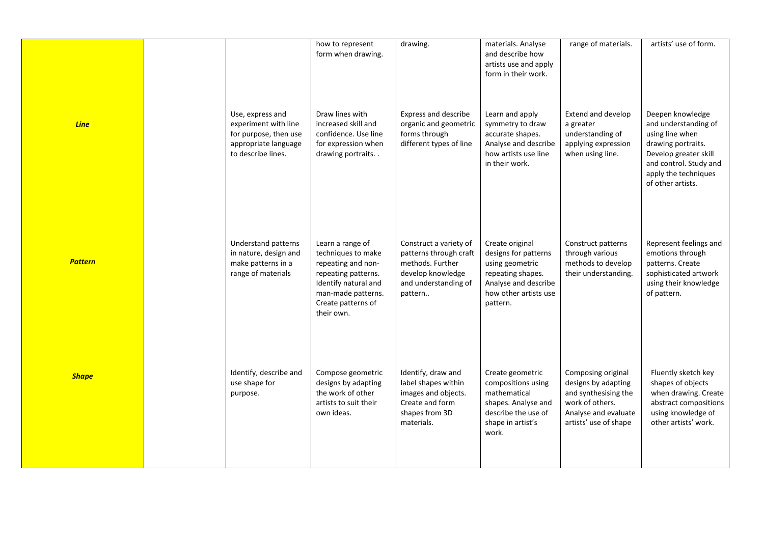|                |                                                                                                                 | how to represent<br>form when drawing.                                                                                                                                | drawing.                                                                                                                     | materials. Analyse<br>and describe how<br>artists use and apply<br>form in their work.                                                       | range of materials.                                                                                                                   | artists' use of form.                                                                                                                                                             |
|----------------|-----------------------------------------------------------------------------------------------------------------|-----------------------------------------------------------------------------------------------------------------------------------------------------------------------|------------------------------------------------------------------------------------------------------------------------------|----------------------------------------------------------------------------------------------------------------------------------------------|---------------------------------------------------------------------------------------------------------------------------------------|-----------------------------------------------------------------------------------------------------------------------------------------------------------------------------------|
| <b>Line</b>    | Use, express and<br>experiment with line<br>for purpose, then use<br>appropriate language<br>to describe lines. | Draw lines with<br>increased skill and<br>confidence. Use line<br>for expression when<br>drawing portraits                                                            | Express and describe<br>organic and geometric<br>forms through<br>different types of line                                    | Learn and apply<br>symmetry to draw<br>accurate shapes.<br>Analyse and describe<br>how artists use line<br>in their work.                    | Extend and develop<br>a greater<br>understanding of<br>applying expression<br>when using line.                                        | Deepen knowledge<br>and understanding of<br>using line when<br>drawing portraits.<br>Develop greater skill<br>and control. Study and<br>apply the techniques<br>of other artists. |
| <b>Pattern</b> | Understand patterns<br>in nature, design and<br>make patterns in a<br>range of materials                        | Learn a range of<br>techniques to make<br>repeating and non-<br>repeating patterns.<br>Identify natural and<br>man-made patterns.<br>Create patterns of<br>their own. | Construct a variety of<br>patterns through craft<br>methods. Further<br>develop knowledge<br>and understanding of<br>pattern | Create original<br>designs for patterns<br>using geometric<br>repeating shapes.<br>Analyse and describe<br>how other artists use<br>pattern. | Construct patterns<br>through various<br>methods to develop<br>their understanding.                                                   | Represent feelings and<br>emotions through<br>patterns. Create<br>sophisticated artwork<br>using their knowledge<br>of pattern.                                                   |
| <b>Shape</b>   | Identify, describe and<br>use shape for<br>purpose.                                                             | Compose geometric<br>designs by adapting<br>the work of other<br>artists to suit their<br>own ideas.                                                                  | Identify, draw and<br>label shapes within<br>images and objects.<br>Create and form<br>shapes from 3D<br>materials.          | Create geometric<br>compositions using<br>mathematical<br>shapes. Analyse and<br>describe the use of<br>shape in artist's<br>work.           | Composing original<br>designs by adapting<br>and synthesising the<br>work of others.<br>Analyse and evaluate<br>artists' use of shape | Fluently sketch key<br>shapes of objects<br>when drawing. Create<br>abstract compositions<br>using knowledge of<br>other artists' work.                                           |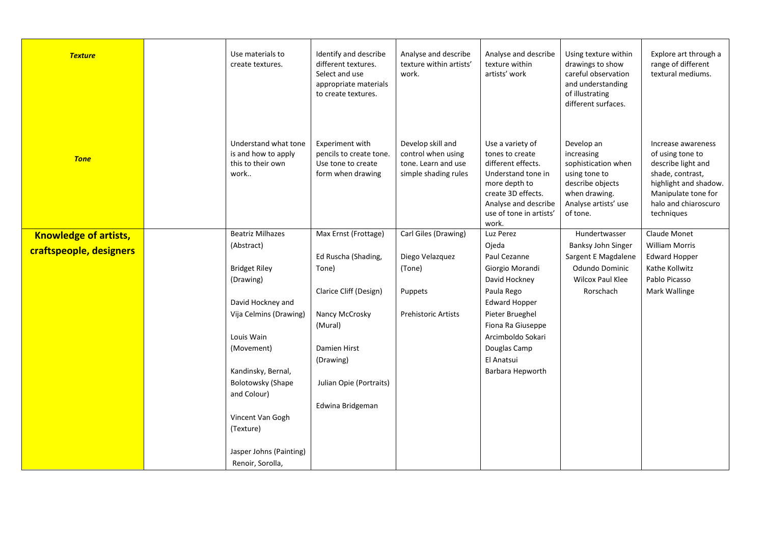| <b>Texture</b>               | Use materials to<br>create textures.                                     | Identify and describe<br>different textures.<br>Select and use<br>appropriate materials<br>to create textures. | Analyse and describe<br>texture within artists'<br>work.                               | Analyse and describe<br>texture within<br>artists' work                                                                                                                            | Using texture within<br>drawings to show<br>careful observation<br>and understanding<br>of illustrating<br>different surfaces.            | Explore art through a<br>range of different<br>textural mediums.                                                                                                       |
|------------------------------|--------------------------------------------------------------------------|----------------------------------------------------------------------------------------------------------------|----------------------------------------------------------------------------------------|------------------------------------------------------------------------------------------------------------------------------------------------------------------------------------|-------------------------------------------------------------------------------------------------------------------------------------------|------------------------------------------------------------------------------------------------------------------------------------------------------------------------|
| <b>Tone</b>                  | Understand what tone<br>is and how to apply<br>this to their own<br>work | Experiment with<br>pencils to create tone.<br>Use tone to create<br>form when drawing                          | Develop skill and<br>control when using<br>tone. Learn and use<br>simple shading rules | Use a variety of<br>tones to create<br>different effects.<br>Understand tone in<br>more depth to<br>create 3D effects.<br>Analyse and describe<br>use of tone in artists'<br>work. | Develop an<br>increasing<br>sophistication when<br>using tone to<br>describe objects<br>when drawing.<br>Analyse artists' use<br>of tone. | Increase awareness<br>of using tone to<br>describe light and<br>shade, contrast,<br>highlight and shadow.<br>Manipulate tone for<br>halo and chiaroscuro<br>techniques |
| <b>Knowledge of artists,</b> | <b>Beatriz Milhazes</b>                                                  | Max Ernst (Frottage)                                                                                           | Carl Giles (Drawing)                                                                   | Luz Perez                                                                                                                                                                          | Hundertwasser                                                                                                                             | Claude Monet                                                                                                                                                           |
| craftspeople, designers      | (Abstract)                                                               |                                                                                                                |                                                                                        | Ojeda                                                                                                                                                                              | Banksy John Singer                                                                                                                        | <b>William Morris</b>                                                                                                                                                  |
|                              |                                                                          | Ed Ruscha (Shading,                                                                                            | Diego Velazquez                                                                        | Paul Cezanne                                                                                                                                                                       | Sargent E Magdalene                                                                                                                       | <b>Edward Hopper</b>                                                                                                                                                   |
|                              | <b>Bridget Riley</b>                                                     | Tone)                                                                                                          | (Tone)                                                                                 | Giorgio Morandi                                                                                                                                                                    | Odundo Dominic                                                                                                                            | Kathe Kollwitz                                                                                                                                                         |
|                              | (Drawing)                                                                |                                                                                                                |                                                                                        | David Hockney                                                                                                                                                                      | Wilcox Paul Klee                                                                                                                          | Pablo Picasso                                                                                                                                                          |
|                              |                                                                          | Clarice Cliff (Design)                                                                                         | Puppets                                                                                | Paula Rego                                                                                                                                                                         | Rorschach                                                                                                                                 | Mark Wallinge                                                                                                                                                          |
|                              | David Hockney and                                                        |                                                                                                                |                                                                                        | <b>Edward Hopper</b>                                                                                                                                                               |                                                                                                                                           |                                                                                                                                                                        |
|                              | Vija Celmins (Drawing)                                                   | Nancy McCrosky                                                                                                 | <b>Prehistoric Artists</b>                                                             | Pieter Brueghel                                                                                                                                                                    |                                                                                                                                           |                                                                                                                                                                        |
|                              |                                                                          | (Mural)                                                                                                        |                                                                                        | Fiona Ra Giuseppe                                                                                                                                                                  |                                                                                                                                           |                                                                                                                                                                        |
|                              | Louis Wain                                                               |                                                                                                                |                                                                                        | Arcimboldo Sokari                                                                                                                                                                  |                                                                                                                                           |                                                                                                                                                                        |
|                              | (Movement)                                                               | Damien Hirst                                                                                                   |                                                                                        | Douglas Camp                                                                                                                                                                       |                                                                                                                                           |                                                                                                                                                                        |
|                              |                                                                          | (Drawing)                                                                                                      |                                                                                        | El Anatsui                                                                                                                                                                         |                                                                                                                                           |                                                                                                                                                                        |
|                              | Kandinsky, Bernal,                                                       |                                                                                                                |                                                                                        | Barbara Hepworth                                                                                                                                                                   |                                                                                                                                           |                                                                                                                                                                        |
|                              | <b>Bolotowsky (Shape</b>                                                 | Julian Opie (Portraits)                                                                                        |                                                                                        |                                                                                                                                                                                    |                                                                                                                                           |                                                                                                                                                                        |
|                              | and Colour)                                                              |                                                                                                                |                                                                                        |                                                                                                                                                                                    |                                                                                                                                           |                                                                                                                                                                        |
|                              |                                                                          | Edwina Bridgeman                                                                                               |                                                                                        |                                                                                                                                                                                    |                                                                                                                                           |                                                                                                                                                                        |
|                              | Vincent Van Gogh                                                         |                                                                                                                |                                                                                        |                                                                                                                                                                                    |                                                                                                                                           |                                                                                                                                                                        |
|                              | (Texture)                                                                |                                                                                                                |                                                                                        |                                                                                                                                                                                    |                                                                                                                                           |                                                                                                                                                                        |
|                              | Jasper Johns (Painting)                                                  |                                                                                                                |                                                                                        |                                                                                                                                                                                    |                                                                                                                                           |                                                                                                                                                                        |
|                              | Renoir, Sorolla,                                                         |                                                                                                                |                                                                                        |                                                                                                                                                                                    |                                                                                                                                           |                                                                                                                                                                        |